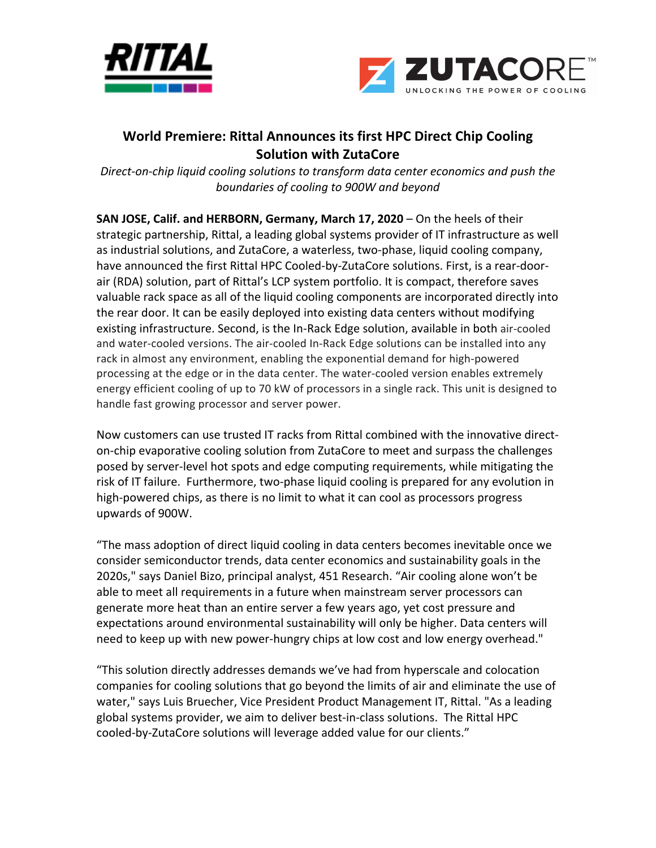



## **World Premiere: Rittal Announces its first HPC Direct Chip Cooling Solution with ZutaCore**

*Direct-on-chip liquid cooling solutions to transform data center economics and push the boundaries of cooling to 900W and beyond* 

**SAN JOSE, Calif. and HERBORN, Germany, March 17, 2020** – On the heels of their strategic partnership, Rittal, a leading global systems provider of IT infrastructure as well as industrial solutions, and ZutaCore, a waterless, two-phase, liquid cooling company, have announced the first Rittal HPC Cooled-by-ZutaCore solutions. First, is a rear-doorair (RDA) solution, part of Rittal's LCP system portfolio. It is compact, therefore saves valuable rack space as all of the liquid cooling components are incorporated directly into the rear door. It can be easily deployed into existing data centers without modifying existing infrastructure. Second, is the In-Rack Edge solution, available in both air-cooled and water-cooled versions. The air-cooled In-Rack Edge solutions can be installed into any rack in almost any environment, enabling the exponential demand for high-powered processing at the edge or in the data center. The water-cooled version enables extremely energy efficient cooling of up to 70 kW of processors in a single rack. This unit is designed to handle fast growing processor and server power.

Now customers can use trusted IT racks from Rittal combined with the innovative directon-chip evaporative cooling solution from ZutaCore to meet and surpass the challenges posed by server-level hot spots and edge computing requirements, while mitigating the risk of IT failure. Furthermore, two-phase liquid cooling is prepared for any evolution in high-powered chips, as there is no limit to what it can cool as processors progress upwards of 900W. 

"The mass adoption of direct liquid cooling in data centers becomes inevitable once we consider semiconductor trends, data center economics and sustainability goals in the 2020s," says Daniel Bizo, principal analyst, 451 Research. "Air cooling alone won't be able to meet all requirements in a future when mainstream server processors can generate more heat than an entire server a few years ago, yet cost pressure and expectations around environmental sustainability will only be higher. Data centers will need to keep up with new power-hungry chips at low cost and low energy overhead."

"This solution directly addresses demands we've had from hyperscale and colocation companies for cooling solutions that go beyond the limits of air and eliminate the use of water," says Luis Bruecher, Vice President Product Management IT, Rittal. "As a leading global systems provider, we aim to deliver best-in-class solutions. The Rittal HPC cooled-by-ZutaCore solutions will leverage added value for our clients."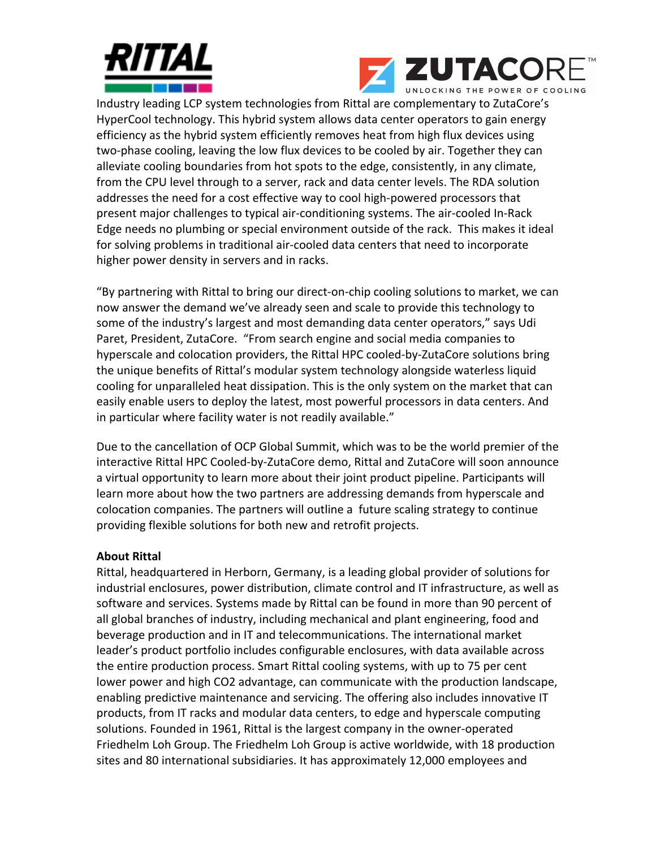



Industry leading LCP system technologies from Rittal are complementary to ZutaCore's HyperCool technology. This hybrid system allows data center operators to gain energy efficiency as the hybrid system efficiently removes heat from high flux devices using two-phase cooling, leaving the low flux devices to be cooled by air. Together they can alleviate cooling boundaries from hot spots to the edge, consistently, in any climate, from the CPU level through to a server, rack and data center levels. The RDA solution addresses the need for a cost effective way to cool high-powered processors that present major challenges to typical air-conditioning systems. The air-cooled In-Rack Edge needs no plumbing or special environment outside of the rack. This makes it ideal for solving problems in traditional air-cooled data centers that need to incorporate higher power density in servers and in racks.

"By partnering with Rittal to bring our direct-on-chip cooling solutions to market, we can now answer the demand we've already seen and scale to provide this technology to some of the industry's largest and most demanding data center operators," says Udi Paret, President, ZutaCore. "From search engine and social media companies to hyperscale and colocation providers, the Rittal HPC cooled-by-ZutaCore solutions bring the unique benefits of Rittal's modular system technology alongside waterless liquid cooling for unparalleled heat dissipation. This is the only system on the market that can easily enable users to deploy the latest, most powerful processors in data centers. And in particular where facility water is not readily available."

Due to the cancellation of OCP Global Summit, which was to be the world premier of the interactive Rittal HPC Cooled-by-ZutaCore demo, Rittal and ZutaCore will soon announce a virtual opportunity to learn more about their joint product pipeline. Participants will learn more about how the two partners are addressing demands from hyperscale and colocation companies. The partners will outline a future scaling strategy to continue providing flexible solutions for both new and retrofit projects.

## **About Rittal**

Rittal, headquartered in Herborn, Germany, is a leading global provider of solutions for industrial enclosures, power distribution, climate control and IT infrastructure, as well as software and services. Systems made by Rittal can be found in more than 90 percent of all global branches of industry, including mechanical and plant engineering, food and beverage production and in IT and telecommunications. The international market leader's product portfolio includes configurable enclosures, with data available across the entire production process. Smart Rittal cooling systems, with up to 75 per cent lower power and high CO2 advantage, can communicate with the production landscape, enabling predictive maintenance and servicing. The offering also includes innovative IT products, from IT racks and modular data centers, to edge and hyperscale computing solutions. Founded in 1961, Rittal is the largest company in the owner-operated Friedhelm Loh Group. The Friedhelm Loh Group is active worldwide, with 18 production sites and 80 international subsidiaries. It has approximately 12,000 employees and